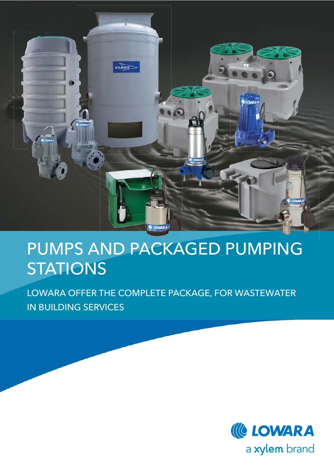

# PUMPS AND PACKAGED PUMPING **STATIONS**

LOWARA OFFER THE COMPLETE PACKAGE, FOR WASTEWATER IN BUILDING SERVICES

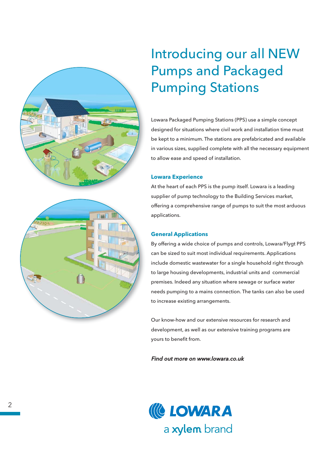



# Introducing our all NEW Pumps and Packaged Pumping Stations

Lowara Packaged Pumping Stations (PPS) use a simple concept designed for situations where civil work and installation time must be kept to a minimum. The stations are prefabricated and available in various sizes, supplied complete with all the necessary equipment to allow ease and speed of installation.

# **Lowara Experience**

At the heart of each PPS is the pump itself. Lowara is a leading supplier of pump technology to the Building Services market, offering a comprehensive range of pumps to suit the most arduous applications.

# **General Applications**

By offering a wide choice of pumps and controls, Lowara/Flygt PPS can be sized to suit most individual requirements. Applications include domestic wastewater for a single household right through to large housing developments, industrial units and commercial premises. Indeed any situation where sewage or surface water needs pumping to a mains connection. The tanks can also be used to increase existing arrangements.

Our know-how and our extensive resources for research and development, as well as our extensive training programs are yours to benefit from.

# Find out more on www.lowara.co.uk

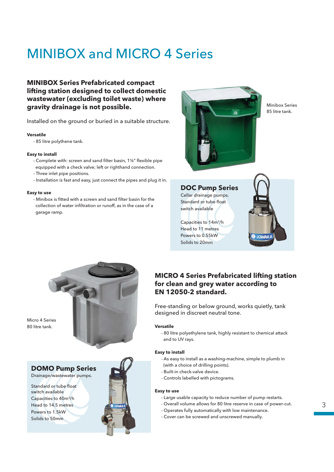# MINIBOX and MICRO 4 Series

# **MINIBOX Series Prefabricated compact lifting station designed to collect domestic wastewater (excluding toilet waste) where gravity drainage is not possible.**

Installed on the ground or buried in a suitable structure.

## **Versatile**

- 85 litre polythene tank.

## **Easy to install**

- Complete with: screen and sand filter basin, 1¼" flexible pipe equipped with a check valve; left or righthand connection.
- Three inlet pipe positions.
- Installation is fast and easy, just connect the pipes and plug it in.

### **Easy to use**

- Minibox is fitted with a screen and sand filter basin for the collection of water infiltration or runoff, as in the case of a garage ramp.



Minibox Series 85 litre tank.

# **DOC Pump Series**

Cellar drainage pumps. Standard or tube float switch available

Capacities to 14m3/h Head to 11 metres Powers to 0.55kW Solids to 20mm





Micro 4 Series 80 litre tank.



Drainage/wastewater pumps.

Standard or tube float switch available Capacities to 40m3/h Head to 14.5 metres Powers to 1.5kW Solids to 50mm



# **MICRO 4 Series Prefabricated lifting station for clean and grey water according to EN 12050-2 standard.**

Free-standing or below ground, works quietly, tank designed in discreet neutral tone.

## **Versatile**

- 80 litre polyethylene tank, highly resistant to chemical attack and to UV rays.

### **Easy to install**

- As easy to install as a washing-machine, simple to plumb in (with a choice of drilling points).
- Built-in check-valve device.
- Controls labelled with pictograms.

### **Easy to use**

- Large usable capacity to reduce number of pump restarts.
- Overall volume allows for 80 litre reserve in case of power-cut.
- Operates fully automatically with low maintenance.
- Cover can be screwed and unscrewed manually.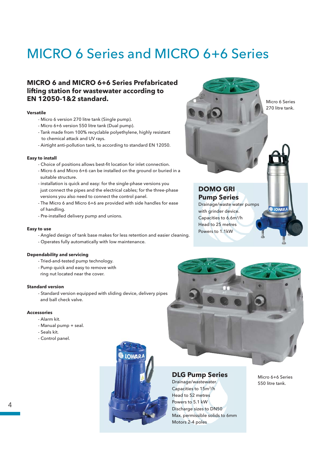# MICRO 6 Series and MICRO 6+6 Series

# **MICRO 6 and MICRO 6+6 Series Prefabricated lifting station for wastewater according to EN 12050-1&2 standard.**

## **Versatile**

- Micro 6 version 270 litre tank (Single pump).
- Micro 6+6 version 550 litre tank (Dual pump).
- Tank made from 100% recyclable polyethylene, highly resistant to chemical attack and UV rays.
- Airtight anti-pollution tank, to according to standard EN 12050.

## **Easy to install**

- Choice of positions allows best-fit location for inlet connection.
- Micro 6 and Micro 6+6 can be installed on the ground or buried in a suitable structure.
- installation is quick and easy: for the single-phase versions you just connect the pipes and the electrical cables; for the three-phase versions you also need to connect the control panel.
- The Micro 6 and Micro 6+6 are provided with side handles for ease of handling.
- Pre-installed delivery pump and unions.

## **Easy to use**

- Angled design of tank base makes for less retention and easier cleaning.
- Operates fully automatically with low maintenance.

# **Dependability and servicing**

- Tried-and-tested pump technology.
- Pump quick and easy to remove with
- ring nut located near the cover.

# **Standard version**

- Standard version equipped with sliding device, delivery pipes and ball check valve.

### **Accessories**

4

- Alarm kit.
- Manual pump + seal.
- Seals kit.
- Control panel.



# **DLG Pump Series**

Drainage/wastewater. Capacities to 15m3/h Head to 52 metres Powers to 5.1 kW Discharge sizes to DN50 Max. permissible solids to 6mm Motors 2-4 poles

Micro 6+6 Series 550 litre tank.

# **DOMO GRI Pump Series**

Drainage/waste water pumps with grinder device. Capacities to 6.6m3/h Head to 25 metres Powers to 1.1kW

Micro 6 Series 270 litre tank.

**LOWARA**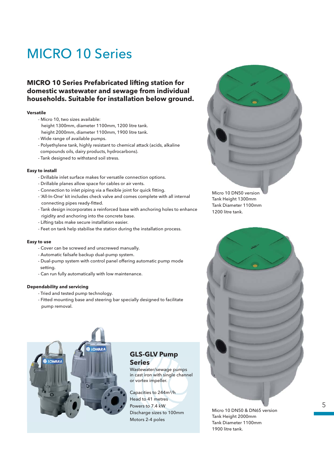# MICRO 10 Series

# **MICRO 10 Series Prefabricated lifting station for domestic wastewater and sewage from individual households. Suitable for installation below ground.**

# **Versatile**

- Micro 10, two sizes available: height 1300mm, diameter 1100mm, 1200 litre tank. height 2000mm, diameter 1100mm, 1900 litre tank.
- Wide range of available pumps.
- Polyethylene tank, highly resistant to chemical attack (acids, alkaline compounds oils, dairy products, hydrocarbons).
- Tank designed to withstand soil stress.

## **Easy to install**

- Drillable inlet surface makes for versatile connection options.
- Drillable planes allow space for cables or air vents.
- Connection to inlet piping via a flexible joint for quick fitting. - 'All-In-One' kit includes check valve and comes complete with all internal
- connecting pipes ready-fitted. - Tank design incorporates a reinforced base with anchoring holes to enhance rigidity and anchoring into the concrete base.
- Lifting tabs make secure installation easier.
- Feet on tank help stabilise the station during the installation process.

## **Easy to use**

- Cover can be screwed and unscrewed manually.
- Automatic failsafe backup dual-pump system.
- Dual-pump system with control panel offering automatic pump mode setting.
- Can run fully automatically with low maintenance.

## **Dependability and servicing**

- Tried and tested pump technology.
- Fitted mounting base and steering bar specially designed to facilitate pump removal.



# **GLS-GLV Pump Series**

Wastewater/sewage pumps in cast iron with single channel or vortex impeller.

Capacities to 244m3/h Head to 41 metres Powers to 7.4 kW Discharge sizes to 100mm Motors 2-4 poles



Micro 10 DN50 version Tank Height 1300mm Tank Diameter 1100mm 1200 litre tank.



Micro 10 DN50 & DN65 version Tank Height 2000mm Tank Diameter 1100mm 1900 litre tank.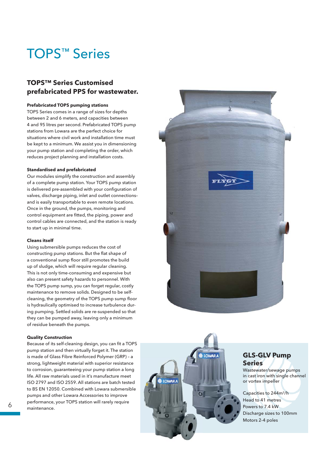# TOPS ™ Series

# **TOPS™ Series Customised prefabricated PPS for wastewater.**

### **Prefabricated TOPS pumping stations**

TOPS Series comes in a range of sizes for depths between 2 and 6 meters, and capacities between 4 and 95 litres per second. Prefabricated TOPS pump stations from Lowara are the perfect choice for situations where civil work and installation time must be kept to a minimum. We assist you in dimensioning your pump station and completing the order, which reduces project planning and installation costs.

### **Standardised and prefabricated**

Our modules simplify the construction and assembly of a complete pump station. Your TOPS pump station is delivered pre-assembled with your configuration of valves, discharge piping, inlet and outlet connections– and is easily transportable to even remote locations. Once in the ground, the pumps, monitoring and control equipment are fitted, the piping, power and control cables are connected, and the station is ready to start up in minimal time.

### **Cleans itself**

Using submersible pumps reduces the cost of constructing pump stations. But the flat shape of a conventional sump floor still promotes the build up of sludge, which will require regular cleaning. This is not only time-consuming and expensive but also can present safety hazards to personnel. With the TOPS pump sump, you can forget regular, costly maintenance to remove solids. Designed to be selfcleaning, the geometry of the TOPS pump sump floor is hydraulically optimised to increase turbulence during pumping. Settled solids are re-suspended so that they can be pumped away, leaving only a minimum of residue beneath the pumps.

### **Quality Construction**

Because of its self-cleaning design, you can fit a TOPS pump station and then virtually forget it. The station is made of Glass Fibre Reinforced Polymer (GRP) – a strong, lightweight material with superior resistance to corrosion, guaranteeing your pump station a long life. All raw materials used in it's manufacture meet ISO 2797 and ISO 2559. All stations are batch tested to BS EN 12050. Combined with Lowara submersible pumps and other Lowara Accessories to improve performance, your TOPS station will rarely require maintenance.





# **GLS-GLV Pump Series**

Wastewater/sewage pumps in cast iron with single channel or vortex impeller

Capacities to 244m 3/h Head to 41 metres Powers to 7.4 kW Discharge sizes to 100mm Motors 2-4 poles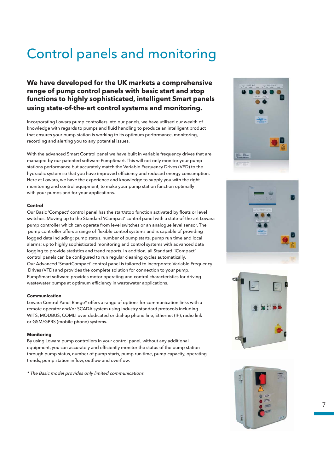# Control panels and monitoring

# **We have developed for the UK markets a comprehensive range of pump control panels with basic start and stop functions to highly sophisticated, intelligent Smart panels using state-of-the-art control systems and monitoring.**

Incorporating Lowara pump controllers into our panels, we have utilised our wealth of knowledge with regards to pumps and fluid handling to produce an intelligent product that ensures your pump station is working to its optimum performance, monitoring, recording and alerting you to any potential issues.

With the advanced Smart Control panel we have built in variable frequency drives that are managed by our patented software PumpSmart. This will not only monitor your pump stations performance but accurately match the Variable Frequency Drives (VFD) to the hydraulic system so that you have improved efficiency and reduced energy consumption. Here at Lowara, we have the experience and knowledge to supply you with the right monitoring and control equipment, to make your pump station function optimally with your pumps and for your applications.

## **Control**

Our Basic 'Compact' control panel has the start/stop function activated by floats or level switches. Moving up to the Standard 'iCompact' control panel with a state-of-the-art Lowara pump controller which can operate from level switches or an analogue level sensor. The pump controller offers a range of flexible control systems and is capable of providing logged data including; pump status, number of pump starts, pump run time and local alarms; up to highly sophisticated monitoring and control systems with advanced data logging to provide statistics and trend reports. In addition, all Standard 'iCompact' control panels can be configured to run regular cleaning cycles automatically. Our Advanced 'SmartCompact' control panel is tailored to incorporate Variable Frequency Drives (VFD) and provides the complete solution for connection to your pump. PumpSmart software provides motor operating and control characteristics for driving wastewater pumps at optimum efficiency in wastewater applications.

### **Communication**

Lowara Control Panel Range\* offers a range of options for communication links with a remote operator and/or SCADA system using industry standard protocols including WITS, MODBUS, COMLI over dedicated or dial-up phone line, Ethernet (IP), radio link or GSM/GPRS (mobile phone) systems.

### **Monitoring**

By using Lowara pump controllers in your control panel, without any additional equipment, you can accurately and efficiently monitor the status of the pump station through pump status, number of pump starts, pump run time, pump capacity, operating trends, pump station inflow, outflow and overflow.

\* The Basic model provides only limited communications